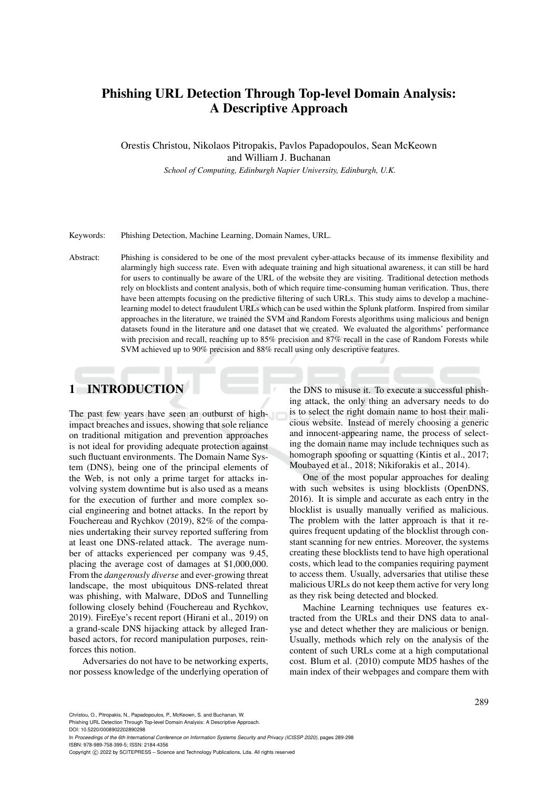# Phishing URL Detection Through Top-level Domain Analysis: A Descriptive Approach

Orestis Christou, Nikolaos Pitropakis, Pavlos Papadopoulos, Sean McKeown and William J. Buchanan

*School of Computing, Edinburgh Napier University, Edinburgh, U.K.*

Keywords: Phishing Detection, Machine Learning, Domain Names, URL.

Abstract: Phishing is considered to be one of the most prevalent cyber-attacks because of its immense flexibility and alarmingly high success rate. Even with adequate training and high situational awareness, it can still be hard for users to continually be aware of the URL of the website they are visiting. Traditional detection methods rely on blocklists and content analysis, both of which require time-consuming human verification. Thus, there have been attempts focusing on the predictive filtering of such URLs. This study aims to develop a machinelearning model to detect fraudulent URLs which can be used within the Splunk platform. Inspired from similar approaches in the literature, we trained the SVM and Random Forests algorithms using malicious and benign datasets found in the literature and one dataset that we created. We evaluated the algorithms' performance with precision and recall, reaching up to 85% precision and 87% recall in the case of Random Forests while SVM achieved up to 90% precision and 88% recall using only descriptive features.

# 1 INTRODUCTION

The past few years have seen an outburst of highimpact breaches and issues, showing that sole reliance on traditional mitigation and prevention approaches is not ideal for providing adequate protection against such fluctuant environments. The Domain Name System (DNS), being one of the principal elements of the Web, is not only a prime target for attacks involving system downtime but is also used as a means for the execution of further and more complex social engineering and botnet attacks. In the report by Fouchereau and Rychkov (2019), 82% of the companies undertaking their survey reported suffering from at least one DNS-related attack. The average number of attacks experienced per company was 9.45, placing the average cost of damages at \$1,000,000. From the *dangerously diverse* and ever-growing threat landscape, the most ubiquitous DNS-related threat was phishing, with Malware, DDoS and Tunnelling following closely behind (Fouchereau and Rychkov, 2019). FireEye's recent report (Hirani et al., 2019) on a grand-scale DNS hijacking attack by alleged Iranbased actors, for record manipulation purposes, reinforces this notion.

Adversaries do not have to be networking experts, nor possess knowledge of the underlying operation of the DNS to misuse it. To execute a successful phishing attack, the only thing an adversary needs to do is to select the right domain name to host their malicious website. Instead of merely choosing a generic and innocent-appearing name, the process of selecting the domain name may include techniques such as homograph spoofing or squatting (Kintis et al., 2017; Moubayed et al., 2018; Nikiforakis et al., 2014).

One of the most popular approaches for dealing with such websites is using blocklists (OpenDNS, 2016). It is simple and accurate as each entry in the blocklist is usually manually verified as malicious. The problem with the latter approach is that it requires frequent updating of the blocklist through constant scanning for new entries. Moreover, the systems creating these blocklists tend to have high operational costs, which lead to the companies requiring payment to access them. Usually, adversaries that utilise these malicious URLs do not keep them active for very long as they risk being detected and blocked.

Machine Learning techniques use features extracted from the URLs and their DNS data to analyse and detect whether they are malicious or benign. Usually, methods which rely on the analysis of the content of such URLs come at a high computational cost. Blum et al. (2010) compute MD5 hashes of the main index of their webpages and compare them with

Phishing URL Detection Through Top-level Domain Analysis: A Descriptive Approach.

DOI: 10.5220/0008902202890298

In *Proceedings of the 6th International Conference on Information Systems Security and Privacy (ICISSP 2020)*, pages 289-298 ISBN: 978-989-758-399-5; ISSN: 2184-4356

Copyright (C) 2022 by SCITEPRESS - Science and Technology Publications, Lda. All rights reserved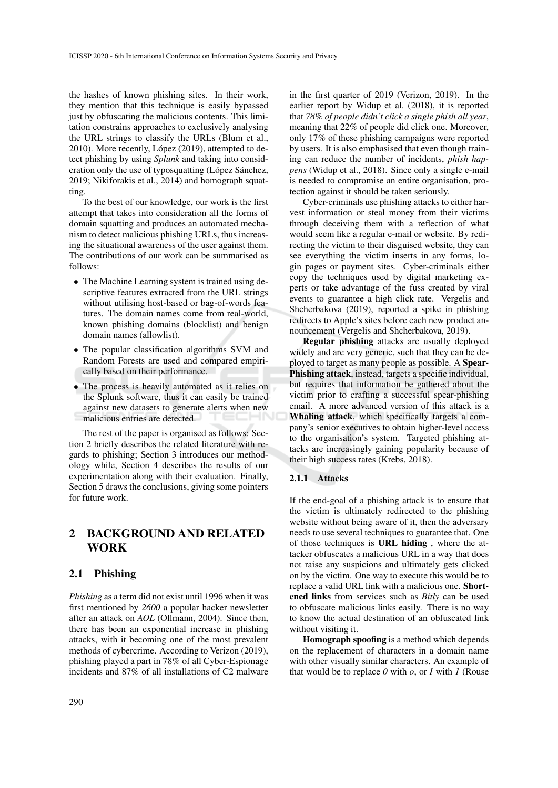the hashes of known phishing sites. In their work, they mention that this technique is easily bypassed just by obfuscating the malicious contents. This limitation constrains approaches to exclusively analysing the URL strings to classify the URLs (Blum et al., 2010). More recently, López (2019), attempted to detect phishing by using *Splunk* and taking into consideration only the use of typosquatting (López Sánchez, 2019; Nikiforakis et al., 2014) and homograph squatting.

To the best of our knowledge, our work is the first attempt that takes into consideration all the forms of domain squatting and produces an automated mechanism to detect malicious phishing URLs, thus increasing the situational awareness of the user against them. The contributions of our work can be summarised as follows:

- The Machine Learning system is trained using descriptive features extracted from the URL strings without utilising host-based or bag-of-words features. The domain names come from real-world, known phishing domains (blocklist) and benign domain names (allowlist).
- The popular classification algorithms SVM and Random Forests are used and compared empirically based on their performance.
- The process is heavily automated as it relies on the Splunk software, thus it can easily be trained against new datasets to generate alerts when new malicious entries are detected.

The rest of the paper is organised as follows: Section 2 briefly describes the related literature with regards to phishing; Section 3 introduces our methodology while, Section 4 describes the results of our experimentation along with their evaluation. Finally, Section 5 draws the conclusions, giving some pointers for future work.

## 2 BACKGROUND AND RELATED WORK

### 2.1 Phishing

*Phishing* as a term did not exist until 1996 when it was first mentioned by *2600* a popular hacker newsletter after an attack on *AOL* (Ollmann, 2004). Since then, there has been an exponential increase in phishing attacks, with it becoming one of the most prevalent methods of cybercrime. According to Verizon (2019), phishing played a part in 78% of all Cyber-Espionage incidents and 87% of all installations of C2 malware

in the first quarter of 2019 (Verizon, 2019). In the earlier report by Widup et al. (2018), it is reported that *78% of people didn't click a single phish all year*, meaning that 22% of people did click one. Moreover, only 17% of these phishing campaigns were reported by users. It is also emphasised that even though training can reduce the number of incidents, *phish happens* (Widup et al., 2018). Since only a single e-mail is needed to compromise an entire organisation, protection against it should be taken seriously.

Cyber-criminals use phishing attacks to either harvest information or steal money from their victims through deceiving them with a reflection of what would seem like a regular e-mail or website. By redirecting the victim to their disguised website, they can see everything the victim inserts in any forms, login pages or payment sites. Cyber-criminals either copy the techniques used by digital marketing experts or take advantage of the fuss created by viral events to guarantee a high click rate. Vergelis and Shcherbakova (2019), reported a spike in phishing redirects to Apple's sites before each new product announcement (Vergelis and Shcherbakova, 2019).

Regular phishing attacks are usually deployed widely and are very generic, such that they can be deployed to target as many people as possible. A Spear-Phishing attack, instead, targets a specific individual, but requires that information be gathered about the victim prior to crafting a successful spear-phishing email. A more advanced version of this attack is a Whaling attack, which specifically targets a company's senior executives to obtain higher-level access to the organisation's system. Targeted phishing attacks are increasingly gaining popularity because of their high success rates (Krebs, 2018).

### 2.1.1 Attacks

If the end-goal of a phishing attack is to ensure that the victim is ultimately redirected to the phishing website without being aware of it, then the adversary needs to use several techniques to guarantee that. One of those techniques is URL hiding , where the attacker obfuscates a malicious URL in a way that does not raise any suspicions and ultimately gets clicked on by the victim. One way to execute this would be to replace a valid URL link with a malicious one. Shortened links from services such as *Bitly* can be used to obfuscate malicious links easily. There is no way to know the actual destination of an obfuscated link without visiting it.

Homograph spoofing is a method which depends on the replacement of characters in a domain name with other visually similar characters. An example of that would be to replace  $\theta$  with  $\rho$ , or  $I$  with  $I$  (Rouse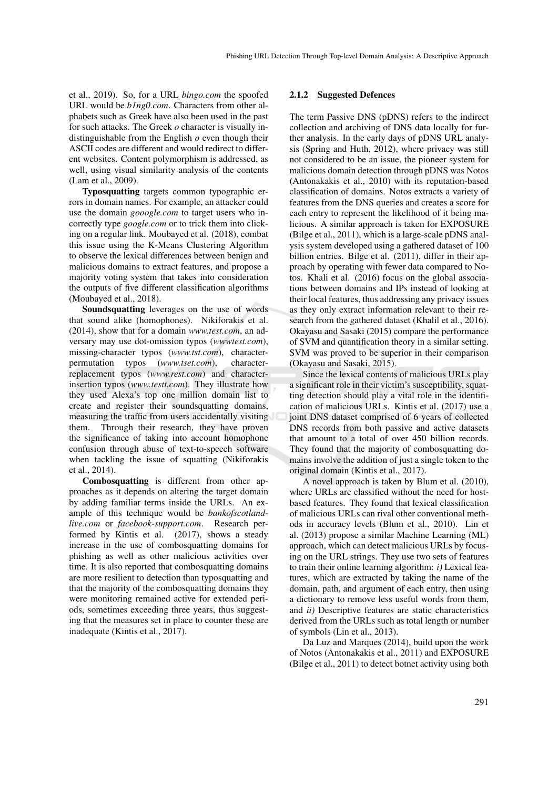et al., 2019). So, for a URL *bingo.com* the spoofed URL would be *b1ng0.com*. Characters from other alphabets such as Greek have also been used in the past for such attacks. The Greek *o* character is visually indistinguishable from the English *o* even though their ASCII codes are different and would redirect to different websites. Content polymorphism is addressed, as well, using visual similarity analysis of the contents (Lam et al., 2009).

Typosquatting targets common typographic errors in domain names. For example, an attacker could use the domain *gooogle.com* to target users who incorrectly type *google.com* or to trick them into clicking on a regular link. Moubayed et al. (2018), combat this issue using the K-Means Clustering Algorithm to observe the lexical differences between benign and malicious domains to extract features, and propose a majority voting system that takes into consideration the outputs of five different classification algorithms (Moubayed et al., 2018).

Soundsquatting leverages on the use of words that sound alike (homophones). Nikiforakis et al. (2014), show that for a domain *www.test.com*, an adversary may use dot-omission typos (*wwwtest.com*), missing-character typos (*www.tst.com*), characterpermutation typos (*www.tset.com*), characterreplacement typos (*www.rest.com*) and characterinsertion typos (*www.testt.com*). They illustrate how they used Alexa's top one million domain list to create and register their soundsquatting domains, measuring the traffic from users accidentally visiting them. Through their research, they have proven the significance of taking into account homophone confusion through abuse of text-to-speech software when tackling the issue of squatting (Nikiforakis et al., 2014).

Combosquatting is different from other approaches as it depends on altering the target domain by adding familiar terms inside the URLs. An example of this technique would be *bankofscotlandlive.com* or *facebook-support.com*. Research performed by Kintis et al. (2017), shows a steady increase in the use of combosquatting domains for phishing as well as other malicious activities over time. It is also reported that combosquatting domains are more resilient to detection than typosquatting and that the majority of the combosquatting domains they were monitoring remained active for extended periods, sometimes exceeding three years, thus suggesting that the measures set in place to counter these are inadequate (Kintis et al., 2017).

### 2.1.2 Suggested Defences

The term Passive DNS (pDNS) refers to the indirect collection and archiving of DNS data locally for further analysis. In the early days of pDNS URL analysis (Spring and Huth, 2012), where privacy was still not considered to be an issue, the pioneer system for malicious domain detection through pDNS was Notos (Antonakakis et al., 2010) with its reputation-based classification of domains. Notos extracts a variety of features from the DNS queries and creates a score for each entry to represent the likelihood of it being malicious. A similar approach is taken for EXPOSURE (Bilge et al., 2011), which is a large-scale pDNS analysis system developed using a gathered dataset of 100 billion entries. Bilge et al. (2011), differ in their approach by operating with fewer data compared to Notos. Khali et al. (2016) focus on the global associations between domains and IPs instead of looking at their local features, thus addressing any privacy issues as they only extract information relevant to their research from the gathered dataset (Khalil et al., 2016). Okayasu and Sasaki (2015) compare the performance of SVM and quantification theory in a similar setting. SVM was proved to be superior in their comparison (Okayasu and Sasaki, 2015).

Since the lexical contents of malicious URLs play a significant role in their victim's susceptibility, squatting detection should play a vital role in the identification of malicious URLs. Kintis et al. (2017) use a joint DNS dataset comprised of 6 years of collected DNS records from both passive and active datasets that amount to a total of over 450 billion records. They found that the majority of combosquatting domains involve the addition of just a single token to the original domain (Kintis et al., 2017).

A novel approach is taken by Blum et al. (2010), where URLs are classified without the need for hostbased features. They found that lexical classification of malicious URLs can rival other conventional methods in accuracy levels (Blum et al., 2010). Lin et al. (2013) propose a similar Machine Learning (ML) approach, which can detect malicious URLs by focusing on the URL strings. They use two sets of features to train their online learning algorithm: *i)* Lexical features, which are extracted by taking the name of the domain, path, and argument of each entry, then using a dictionary to remove less useful words from them, and *ii)* Descriptive features are static characteristics derived from the URLs such as total length or number of symbols (Lin et al., 2013).

Da Luz and Marques (2014), build upon the work of Notos (Antonakakis et al., 2011) and EXPOSURE (Bilge et al., 2011) to detect botnet activity using both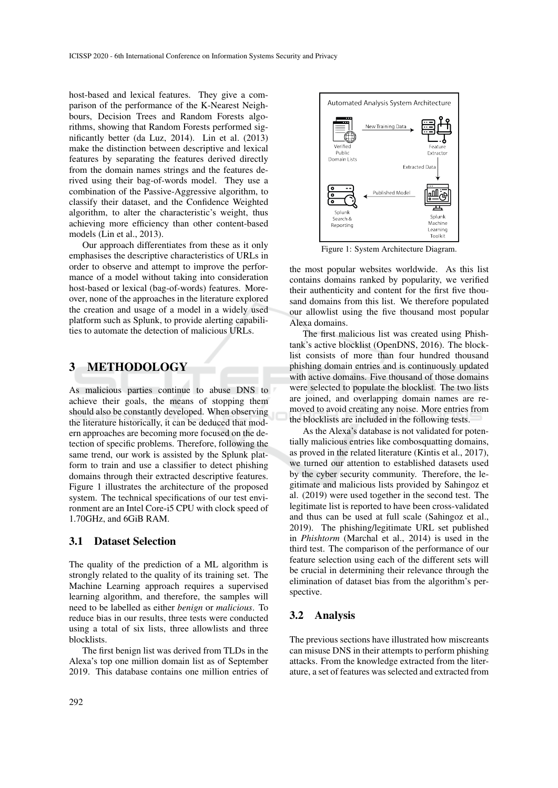host-based and lexical features. They give a comparison of the performance of the K-Nearest Neighbours, Decision Trees and Random Forests algorithms, showing that Random Forests performed significantly better (da Luz, 2014). Lin et al. (2013) make the distinction between descriptive and lexical features by separating the features derived directly from the domain names strings and the features derived using their bag-of-words model. They use a combination of the Passive-Aggressive algorithm, to classify their dataset, and the Confidence Weighted algorithm, to alter the characteristic's weight, thus achieving more efficiency than other content-based models (Lin et al., 2013).

Our approach differentiates from these as it only emphasises the descriptive characteristics of URLs in order to observe and attempt to improve the performance of a model without taking into consideration host-based or lexical (bag-of-words) features. Moreover, none of the approaches in the literature explored the creation and usage of a model in a widely used platform such as Splunk, to provide alerting capabilities to automate the detection of malicious URLs.

## 3 METHODOLOGY

As malicious parties continue to abuse DNS to achieve their goals, the means of stopping them should also be constantly developed. When observing the literature historically, it can be deduced that modern approaches are becoming more focused on the detection of specific problems. Therefore, following the same trend, our work is assisted by the Splunk platform to train and use a classifier to detect phishing domains through their extracted descriptive features. Figure 1 illustrates the architecture of the proposed system. The technical specifications of our test environment are an Intel Core-i5 CPU with clock speed of 1.70GHz, and 6GiB RAM.

### 3.1 Dataset Selection

The quality of the prediction of a ML algorithm is strongly related to the quality of its training set. The Machine Learning approach requires a supervised learning algorithm, and therefore, the samples will need to be labelled as either *benign* or *malicious*. To reduce bias in our results, three tests were conducted using a total of six lists, three allowlists and three blocklists.

The first benign list was derived from TLDs in the Alexa's top one million domain list as of September 2019. This database contains one million entries of



Figure 1: System Architecture Diagram.

the most popular websites worldwide. As this list contains domains ranked by popularity, we verified their authenticity and content for the first five thousand domains from this list. We therefore populated our allowlist using the five thousand most popular Alexa domains.

The first malicious list was created using Phishtank's active blocklist (OpenDNS, 2016). The blocklist consists of more than four hundred thousand phishing domain entries and is continuously updated with active domains. Five thousand of those domains were selected to populate the blocklist. The two lists are joined, and overlapping domain names are removed to avoid creating any noise. More entries from the blocklists are included in the following tests.

As the Alexa's database is not validated for potentially malicious entries like combosquatting domains, as proved in the related literature (Kintis et al., 2017), we turned our attention to established datasets used by the cyber security community. Therefore, the legitimate and malicious lists provided by Sahingoz et al. (2019) were used together in the second test. The legitimate list is reported to have been cross-validated and thus can be used at full scale (Sahingoz et al., 2019). The phishing/legitimate URL set published in *Phishtorm* (Marchal et al., 2014) is used in the third test. The comparison of the performance of our feature selection using each of the different sets will be crucial in determining their relevance through the elimination of dataset bias from the algorithm's perspective.

## 3.2 Analysis

The previous sections have illustrated how miscreants can misuse DNS in their attempts to perform phishing attacks. From the knowledge extracted from the literature, a set of features was selected and extracted from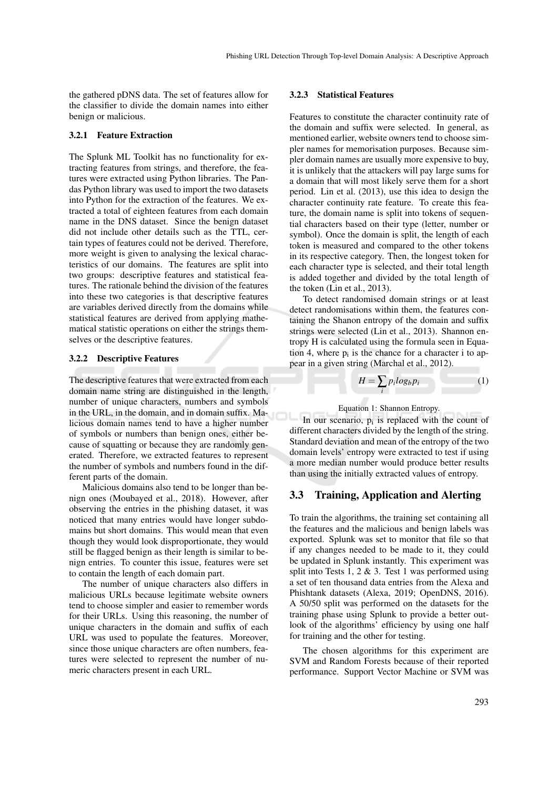the gathered pDNS data. The set of features allow for the classifier to divide the domain names into either benign or malicious.

#### 3.2.1 Feature Extraction

The Splunk ML Toolkit has no functionality for extracting features from strings, and therefore, the features were extracted using Python libraries. The Pandas Python library was used to import the two datasets into Python for the extraction of the features. We extracted a total of eighteen features from each domain name in the DNS dataset. Since the benign dataset did not include other details such as the TTL, certain types of features could not be derived. Therefore, more weight is given to analysing the lexical characteristics of our domains. The features are split into two groups: descriptive features and statistical features. The rationale behind the division of the features into these two categories is that descriptive features are variables derived directly from the domains while statistical features are derived from applying mathematical statistic operations on either the strings themselves or the descriptive features.

#### 3.2.2 Descriptive Features

The descriptive features that were extracted from each domain name string are distinguished in the length, number of unique characters, numbers and symbols in the URL, in the domain, and in domain suffix. Malicious domain names tend to have a higher number of symbols or numbers than benign ones, either because of squatting or because they are randomly generated. Therefore, we extracted features to represent the number of symbols and numbers found in the different parts of the domain.

Malicious domains also tend to be longer than benign ones (Moubayed et al., 2018). However, after observing the entries in the phishing dataset, it was noticed that many entries would have longer subdomains but short domains. This would mean that even though they would look disproportionate, they would still be flagged benign as their length is similar to benign entries. To counter this issue, features were set to contain the length of each domain part.

The number of unique characters also differs in malicious URLs because legitimate website owners tend to choose simpler and easier to remember words for their URLs. Using this reasoning, the number of unique characters in the domain and suffix of each URL was used to populate the features. Moreover, since those unique characters are often numbers, features were selected to represent the number of numeric characters present in each URL.

### 3.2.3 Statistical Features

Features to constitute the character continuity rate of the domain and suffix were selected. In general, as mentioned earlier, website owners tend to choose simpler names for memorisation purposes. Because simpler domain names are usually more expensive to buy, it is unlikely that the attackers will pay large sums for a domain that will most likely serve them for a short period. Lin et al. (2013), use this idea to design the character continuity rate feature. To create this feature, the domain name is split into tokens of sequential characters based on their type (letter, number or symbol). Once the domain is split, the length of each token is measured and compared to the other tokens in its respective category. Then, the longest token for each character type is selected, and their total length is added together and divided by the total length of the token (Lin et al., 2013).

To detect randomised domain strings or at least detect randomisations within them, the features containing the Shanon entropy of the domain and suffix strings were selected (Lin et al., 2013). Shannon entropy H is calculated using the formula seen in Equation 4, where  $p_i$  is the chance for a character i to appear in a given string (Marchal et al., 2012).

$$
H = \sum_{i} p_i \log_b p_i \tag{1}
$$

#### Equation 1: Shannon Entropy.

In our scenario,  $p_i$  is replaced with the count of different characters divided by the length of the string. Standard deviation and mean of the entropy of the two domain levels' entropy were extracted to test if using a more median number would produce better results than using the initially extracted values of entropy.

### 3.3 Training, Application and Alerting

To train the algorithms, the training set containing all the features and the malicious and benign labels was exported. Splunk was set to monitor that file so that if any changes needed to be made to it, they could be updated in Splunk instantly. This experiment was split into Tests 1, 2 & 3. Test 1 was performed using a set of ten thousand data entries from the Alexa and Phishtank datasets (Alexa, 2019; OpenDNS, 2016). A 50/50 split was performed on the datasets for the training phase using Splunk to provide a better outlook of the algorithms' efficiency by using one half for training and the other for testing.

The chosen algorithms for this experiment are SVM and Random Forests because of their reported performance. Support Vector Machine or SVM was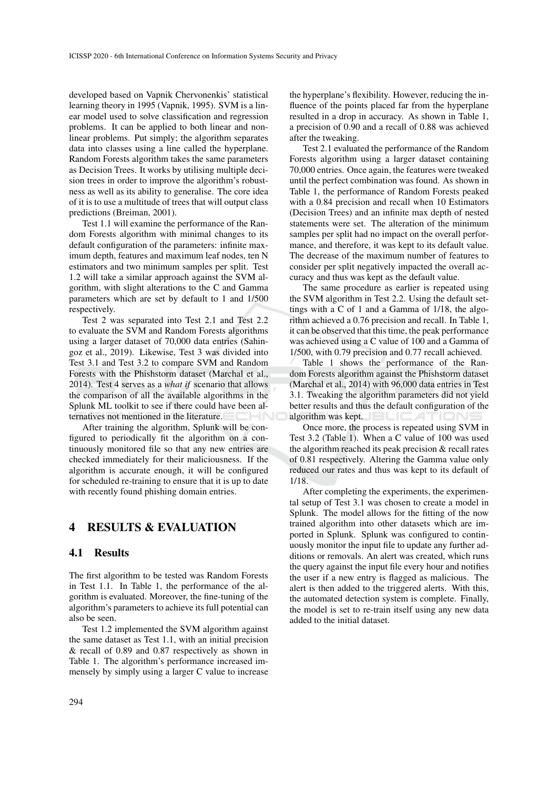developed based on Vapnik Chervonenkis' statistical learning theory in 1995 (Vapnik, 1995). SVM is a linear model used to solve classification and regression problems. It can be applied to both linear and nonlinear problems. Put simply; the algorithm separates data into classes using a line called the hyperplane. Random Forests algorithm takes the same parameters as Decision Trees. It works by utilising multiple decision trees in order to improve the algorithm's robustness as well as its ability to generalise. The core idea of it is to use a multitude of trees that will output class predictions (Breiman, 2001).

Test 1.1 will examine the performance of the Random Forests algorithm with minimal changes to its default configuration of the parameters: infinite maximum depth, features and maximum leaf nodes, ten N estimators and two minimum samples per split. Test 1.2 will take a similar approach against the SVM algorithm, with slight alterations to the C and Gamma parameters which are set by default to 1 and 1/500 respectively.

Test 2 was separated into Test 2.1 and Test 2.2 to evaluate the SVM and Random Forests algorithms using a larger dataset of 70,000 data entries (Sahingoz et al., 2019). Likewise, Test 3 was divided into Test 3.1 and Test 3.2 to compare SVM and Random Forests with the Phishstorm dataset (Marchal et al., 2014). Test 4 serves as a *what if* scenario that allows the comparison of all the available algorithms in the Splunk ML toolkit to see if there could have been alternatives not mentioned in the literature.

After training the algorithm, Splunk will be configured to periodically fit the algorithm on a continuously monitored file so that any new entries are checked immediately for their maliciousness. If the algorithm is accurate enough, it will be configured for scheduled re-training to ensure that it is up to date with recently found phishing domain entries.

## 4 RESULTS & EVALUATION

### 4.1 Results

The first algorithm to be tested was Random Forests in Test 1.1. In Table 1, the performance of the algorithm is evaluated. Moreover, the fine-tuning of the algorithm's parameters to achieve its full potential can also be seen.

Test 1.2 implemented the SVM algorithm against the same dataset as Test 1.1, with an initial precision & recall of 0.89 and 0.87 respectively as shown in Table 1. The algorithm's performance increased immensely by simply using a larger C value to increase

the hyperplane's flexibility. However, reducing the influence of the points placed far from the hyperplane resulted in a drop in accuracy. As shown in Table 1, a precision of 0.90 and a recall of 0.88 was achieved after the tweaking.

Test 2.1 evaluated the performance of the Random Forests algorithm using a larger dataset containing 70,000 entries. Once again, the features were tweaked until the perfect combination was found. As shown in Table 1, the performance of Random Forests peaked with a 0.84 precision and recall when 10 Estimators (Decision Trees) and an infinite max depth of nested statements were set. The alteration of the minimum samples per split had no impact on the overall performance, and therefore, it was kept to its default value. The decrease of the maximum number of features to consider per split negatively impacted the overall accuracy and thus was kept as the default value.

The same procedure as earlier is repeated using the SVM algorithm in Test 2.2. Using the default settings with a C of 1 and a Gamma of 1/18, the algorithm achieved a 0.76 precision and recall. In Table 1, it can be observed that this time, the peak performance was achieved using a C value of 100 and a Gamma of 1/500, with 0.79 precision and 0.77 recall achieved.

Table 1 shows the performance of the Random Forests algorithm against the Phishstorm dataset (Marchal et al., 2014) with 96,000 data entries in Test 3.1. Tweaking the algorithm parameters did not yield better results and thus the default configuration of the algorithm was kept.

Once more, the process is repeated using SVM in Test 3.2 (Table 1). When a C value of 100 was used the algorithm reached its peak precision & recall rates of 0.81 respectively. Altering the Gamma value only reduced our rates and thus was kept to its default of 1/18.

After completing the experiments, the experimental setup of Test 3.1 was chosen to create a model in Splunk. The model allows for the fitting of the now trained algorithm into other datasets which are imported in Splunk. Splunk was configured to continuously monitor the input file to update any further additions or removals. An alert was created, which runs the query against the input file every hour and notifies the user if a new entry is flagged as malicious. The alert is then added to the triggered alerts. With this, the automated detection system is complete. Finally, the model is set to re-train itself using any new data added to the initial dataset.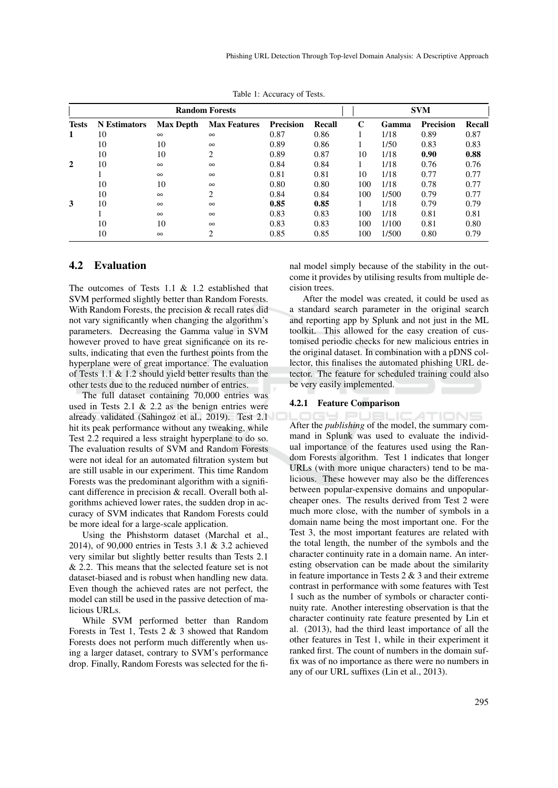| <b>Random Forests</b> |                     |                  |                               |                  | <b>SVM</b> |     |       |                  |        |
|-----------------------|---------------------|------------------|-------------------------------|------------------|------------|-----|-------|------------------|--------|
| <b>Tests</b>          | <b>N</b> Estimators | <b>Max Depth</b> | <b>Max Features</b>           | <b>Precision</b> | Recall     | C   | Gamma | <b>Precision</b> | Recall |
| 1                     | 10                  | $\infty$         | $\infty$                      | 0.87             | 0.86       |     | 1/18  | 0.89             | 0.87   |
|                       | 10                  | 10               | $\infty$                      | 0.89             | 0.86       |     | 1/50  | 0.83             | 0.83   |
|                       | 10                  | 10               | $\overline{c}$                | 0.89             | 0.87       | 10  | 1/18  | 0.90             | 0.88   |
| 2                     | 10                  | $\infty$         | $\infty$                      | 0.84             | 0.84       |     | 1/18  | 0.76             | 0.76   |
|                       |                     | $\infty$         | $\infty$                      | 0.81             | 0.81       | 10  | 1/18  | 0.77             | 0.77   |
|                       | 10                  | 10               | $\infty$                      | 0.80             | 0.80       | 100 | 1/18  | 0.78             | 0.77   |
|                       | 10                  | $\infty$         | 2                             | 0.84             | 0.84       | 100 | 1/500 | 0.79             | 0.77   |
| 3                     | 10                  | $\infty$         | $\infty$                      | 0.85             | 0.85       |     | 1/18  | 0.79             | 0.79   |
|                       |                     | $\infty$         | $\infty$                      | 0.83             | 0.83       | 100 | 1/18  | 0.81             | 0.81   |
|                       | 10                  | 10               | $\infty$                      | 0.83             | 0.83       | 100 | 1/100 | 0.81             | 0.80   |
|                       | 10                  | $\infty$         | $\mathfrak{D}_{\mathfrak{p}}$ | 0.85             | 0.85       | 100 | 1/500 | 0.80             | 0.79   |

Table 1: Accuracy of Tests.

## 4.2 Evaluation

The outcomes of Tests 1.1 & 1.2 established that SVM performed slightly better than Random Forests. With Random Forests, the precision & recall rates did not vary significantly when changing the algorithm's parameters. Decreasing the Gamma value in SVM however proved to have great significance on its results, indicating that even the furthest points from the hyperplane were of great importance. The evaluation of Tests 1.1 & 1.2 should yield better results than the other tests due to the reduced number of entries.

The full dataset containing 70,000 entries was used in Tests 2.1  $\&$  2.2 as the benign entries were already validated (Sahingoz et al., 2019). Test 2.1 hit its peak performance without any tweaking, while Test 2.2 required a less straight hyperplane to do so. The evaluation results of SVM and Random Forests were not ideal for an automated filtration system but are still usable in our experiment. This time Random Forests was the predominant algorithm with a significant difference in precision & recall. Overall both algorithms achieved lower rates, the sudden drop in accuracy of SVM indicates that Random Forests could be more ideal for a large-scale application.

Using the Phishstorm dataset (Marchal et al., 2014), of 90,000 entries in Tests 3.1 & 3.2 achieved very similar but slightly better results than Tests 2.1 & 2.2. This means that the selected feature set is not dataset-biased and is robust when handling new data. Even though the achieved rates are not perfect, the model can still be used in the passive detection of malicious URLs.

While SVM performed better than Random Forests in Test 1, Tests 2 & 3 showed that Random Forests does not perform much differently when using a larger dataset, contrary to SVM's performance drop. Finally, Random Forests was selected for the final model simply because of the stability in the outcome it provides by utilising results from multiple decision trees.

After the model was created, it could be used as a standard search parameter in the original search and reporting app by Splunk and not just in the ML toolkit. This allowed for the easy creation of customised periodic checks for new malicious entries in the original dataset. In combination with a pDNS collector, this finalises the automated phishing URL detector. The feature for scheduled training could also be very easily implemented.

#### 4.2.1 Feature Comparison

TIONS After the *publishing* of the model, the summary command in Splunk was used to evaluate the individual importance of the features used using the Random Forests algorithm. Test 1 indicates that longer URLs (with more unique characters) tend to be malicious. These however may also be the differences between popular-expensive domains and unpopularcheaper ones. The results derived from Test 2 were much more close, with the number of symbols in a domain name being the most important one. For the Test 3, the most important features are related with the total length, the number of the symbols and the character continuity rate in a domain name. An interesting observation can be made about the similarity in feature importance in Tests 2 & 3 and their extreme contrast in performance with some features with Test 1 such as the number of symbols or character continuity rate. Another interesting observation is that the character continuity rate feature presented by Lin et al. (2013), had the third least importance of all the other features in Test 1, while in their experiment it ranked first. The count of numbers in the domain suffix was of no importance as there were no numbers in any of our URL suffixes (Lin et al., 2013).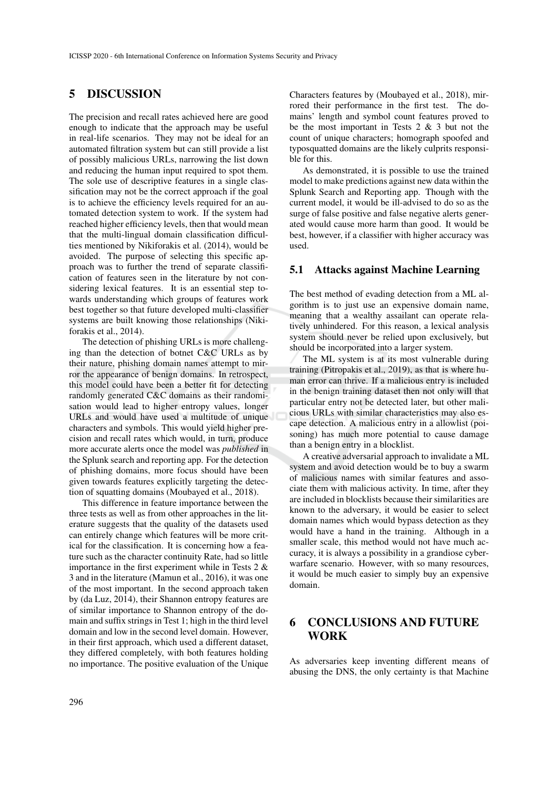## 5 DISCUSSION

The precision and recall rates achieved here are good enough to indicate that the approach may be useful in real-life scenarios. They may not be ideal for an automated filtration system but can still provide a list of possibly malicious URLs, narrowing the list down and reducing the human input required to spot them. The sole use of descriptive features in a single classification may not be the correct approach if the goal is to achieve the efficiency levels required for an automated detection system to work. If the system had reached higher efficiency levels, then that would mean that the multi-lingual domain classification difficulties mentioned by Nikiforakis et al. (2014), would be avoided. The purpose of selecting this specific approach was to further the trend of separate classification of features seen in the literature by not considering lexical features. It is an essential step towards understanding which groups of features work best together so that future developed multi-classifier systems are built knowing those relationships (Nikiforakis et al., 2014).

The detection of phishing URLs is more challenging than the detection of botnet C&C URLs as by their nature, phishing domain names attempt to mirror the appearance of benign domains. In retrospect, this model could have been a better fit for detecting randomly generated C&C domains as their randomisation would lead to higher entropy values, longer URLs and would have used a multitude of unique characters and symbols. This would yield higher precision and recall rates which would, in turn, produce more accurate alerts once the model was *published* in the Splunk search and reporting app. For the detection of phishing domains, more focus should have been given towards features explicitly targeting the detection of squatting domains (Moubayed et al., 2018).

This difference in feature importance between the three tests as well as from other approaches in the literature suggests that the quality of the datasets used can entirely change which features will be more critical for the classification. It is concerning how a feature such as the character continuity Rate, had so little importance in the first experiment while in Tests 2 & 3 and in the literature (Mamun et al., 2016), it was one of the most important. In the second approach taken by (da Luz, 2014), their Shannon entropy features are of similar importance to Shannon entropy of the domain and suffix strings in Test 1; high in the third level domain and low in the second level domain. However, in their first approach, which used a different dataset, they differed completely, with both features holding no importance. The positive evaluation of the Unique Characters features by (Moubayed et al., 2018), mirrored their performance in the first test. The domains' length and symbol count features proved to be the most important in Tests 2 & 3 but not the count of unique characters; homograph spoofed and typosquatted domains are the likely culprits responsible for this.

As demonstrated, it is possible to use the trained model to make predictions against new data within the Splunk Search and Reporting app. Though with the current model, it would be ill-advised to do so as the surge of false positive and false negative alerts generated would cause more harm than good. It would be best, however, if a classifier with higher accuracy was used.

## 5.1 Attacks against Machine Learning

The best method of evading detection from a ML algorithm is to just use an expensive domain name, meaning that a wealthy assailant can operate relatively unhindered. For this reason, a lexical analysis system should never be relied upon exclusively, but should be incorporated into a larger system.

The ML system is at its most vulnerable during training (Pitropakis et al., 2019), as that is where human error can thrive. If a malicious entry is included in the benign training dataset then not only will that particular entry not be detected later, but other malicious URLs with similar characteristics may also escape detection. A malicious entry in a allowlist (poisoning) has much more potential to cause damage than a benign entry in a blocklist.

A creative adversarial approach to invalidate a ML system and avoid detection would be to buy a swarm of malicious names with similar features and associate them with malicious activity. In time, after they are included in blocklists because their similarities are known to the adversary, it would be easier to select domain names which would bypass detection as they would have a hand in the training. Although in a smaller scale, this method would not have much accuracy, it is always a possibility in a grandiose cyberwarfare scenario. However, with so many resources, it would be much easier to simply buy an expensive domain.

## 6 CONCLUSIONS AND FUTURE WORK

As adversaries keep inventing different means of abusing the DNS, the only certainty is that Machine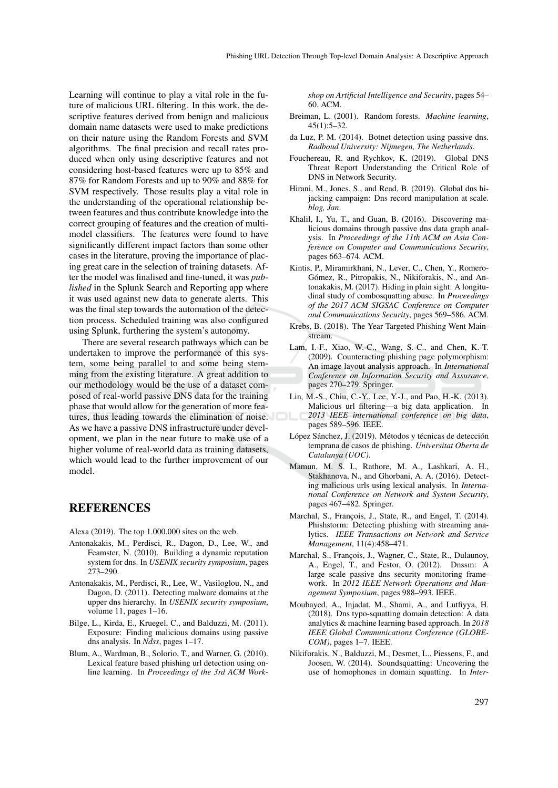Learning will continue to play a vital role in the future of malicious URL filtering. In this work, the descriptive features derived from benign and malicious domain name datasets were used to make predictions on their nature using the Random Forests and SVM algorithms. The final precision and recall rates produced when only using descriptive features and not considering host-based features were up to 85% and 87% for Random Forests and up to 90% and 88% for SVM respectively. Those results play a vital role in the understanding of the operational relationship between features and thus contribute knowledge into the correct grouping of features and the creation of multimodel classifiers. The features were found to have significantly different impact factors than some other cases in the literature, proving the importance of placing great care in the selection of training datasets. After the model was finalised and fine-tuned, it was *published* in the Splunk Search and Reporting app where it was used against new data to generate alerts. This was the final step towards the automation of the detection process. Scheduled training was also configured using Splunk, furthering the system's autonomy.

There are several research pathways which can be undertaken to improve the performance of this system, some being parallel to and some being stemming from the existing literature. A great addition to our methodology would be the use of a dataset composed of real-world passive DNS data for the training phase that would allow for the generation of more features, thus leading towards the elimination of noise. As we have a passive DNS infrastructure under development, we plan in the near future to make use of a higher volume of real-world data as training datasets, which would lead to the further improvement of our model.

## **REFERENCES**

Alexa (2019). The top 1.000.000 sites on the web.

- Antonakakis, M., Perdisci, R., Dagon, D., Lee, W., and Feamster, N. (2010). Building a dynamic reputation system for dns. In *USENIX security symposium*, pages 273–290.
- Antonakakis, M., Perdisci, R., Lee, W., Vasiloglou, N., and Dagon, D. (2011). Detecting malware domains at the upper dns hierarchy. In *USENIX security symposium*, volume 11, pages 1–16.
- Bilge, L., Kirda, E., Kruegel, C., and Balduzzi, M. (2011). Exposure: Finding malicious domains using passive dns analysis. In *Ndss*, pages 1–17.
- Blum, A., Wardman, B., Solorio, T., and Warner, G. (2010). Lexical feature based phishing url detection using online learning. In *Proceedings of the 3rd ACM Work-*

*shop on Artificial Intelligence and Security*, pages 54– 60. ACM.

- Breiman, L. (2001). Random forests. *Machine learning*,  $45(1):5-32.$
- da Luz, P. M. (2014). Botnet detection using passive dns. *Radboud University: Nijmegen, The Netherlands*.
- Fouchereau, R. and Rychkov, K. (2019). Global DNS Threat Report Understanding the Critical Role of DNS in Network Security.
- Hirani, M., Jones, S., and Read, B. (2019). Global dns hijacking campaign: Dns record manipulation at scale. *blog, Jan*.
- Khalil, I., Yu, T., and Guan, B. (2016). Discovering malicious domains through passive dns data graph analysis. In *Proceedings of the 11th ACM on Asia Conference on Computer and Communications Security*, pages 663–674. ACM.
- Kintis, P., Miramirkhani, N., Lever, C., Chen, Y., Romero-Gómez, R., Pitropakis, N., Nikiforakis, N., and Antonakakis, M. (2017). Hiding in plain sight: A longitudinal study of combosquatting abuse. In *Proceedings of the 2017 ACM SIGSAC Conference on Computer and Communications Security*, pages 569–586. ACM.
- Krebs, B. (2018). The Year Targeted Phishing Went Mainstream.
- Lam, I.-F., Xiao, W.-C., Wang, S.-C., and Chen, K.-T. (2009). Counteracting phishing page polymorphism: An image layout analysis approach. In *International Conference on Information Security and Assurance*, pages 270–279. Springer.
- Lin, M.-S., Chiu, C.-Y., Lee, Y.-J., and Pao, H.-K. (2013). Malicious url filtering—a big data application. In *2013 IEEE international conference on big data*, pages 589–596. IEEE.
- López Sánchez, J. (2019). Métodos y técnicas de detección temprana de casos de phishing. *Universitat Oberta de Catalunya (UOC)*.
- Mamun, M. S. I., Rathore, M. A., Lashkari, A. H., Stakhanova, N., and Ghorbani, A. A. (2016). Detecting malicious urls using lexical analysis. In *International Conference on Network and System Security*, pages 467–482. Springer.
- Marchal, S., François, J., State, R., and Engel, T. (2014). Phishstorm: Detecting phishing with streaming analytics. *IEEE Transactions on Network and Service Management*, 11(4):458–471.
- Marchal, S., François, J., Wagner, C., State, R., Dulaunoy, A., Engel, T., and Festor, O. (2012). Dnssm: A large scale passive dns security monitoring framework. In *2012 IEEE Network Operations and Management Symposium*, pages 988–993. IEEE.
- Moubayed, A., Injadat, M., Shami, A., and Lutfiyya, H. (2018). Dns typo-squatting domain detection: A data analytics & machine learning based approach. In *2018 IEEE Global Communications Conference (GLOBE-COM)*, pages 1–7. IEEE.
- Nikiforakis, N., Balduzzi, M., Desmet, L., Piessens, F., and Joosen, W. (2014). Soundsquatting: Uncovering the use of homophones in domain squatting. In *Inter-*